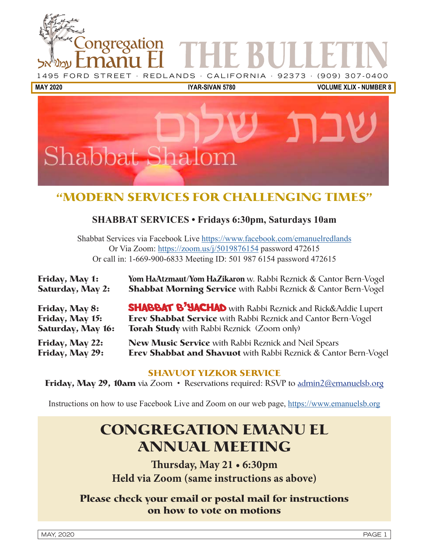



# **"MODERN SERVICES FOR CHALLENGING TIMES"**

## **SHABBAT SERVICES • Fridays 6:30pm, Saturdays 10am**

Shabbat Services via Facebook Live [https://www.facebook.com/emanuelredlands](https://www.facebook.com/emanuelredlands
) Or Via Zoom: https://zoom.us/j/5019876154 password 472615 Or call in: 1-669-900-6833 Meeting ID: 501 987 6154 password 472615

| Friday, May 1:          | Yom HaAtzmaut/Yom HaZikaron w. Rabbi Reznick & Cantor Bern-Vogel       |
|-------------------------|------------------------------------------------------------------------|
| <b>Saturday, May 2:</b> | <b>Shabbat Morning Service</b> with Rabbi Reznick & Cantor Bern-Vogel  |
| Friday, May 8:          | <b>SHABBAT B' YACHAD</b> with Rabbi Reznick and Rick&Addie Lupert      |
| Friday, May 15:         | <b>Erev Shabbat Service</b> with Rabbi Reznick and Cantor Bern-Vogel   |
| Saturday, May 16:       | <b>Torah Study</b> with Rabbi Reznick (Zoom only)                      |
| Friday, May 22:         | <b>New Music Service</b> with Rabbi Reznick and Neil Spears            |
| Friday, May 29:         | <b>Erev Shabbat and Shavuot</b> with Rabbi Reznick & Cantor Bern-Vogel |

## **SHAVUOT YIZKOR SERVICE**

**Friday, May 29, 10am** via Zoom • Reservations required: RSVP to admin2@emanuelsb.org

Instructions on how to use Facebook Live and Zoom on our web page, [https://www.emanuelsb.org](https://www.facebook.com/emanuelredlands
)

# **CONGREGATION EMANU EL ANNUAL MEETING**

**Thursday, May 21 • 6:30pm Held via Zoom (same instructions as above)**

## **Please check your email or postal mail for instructions on how to vote on motions**

MAY, 2020 PAGE 1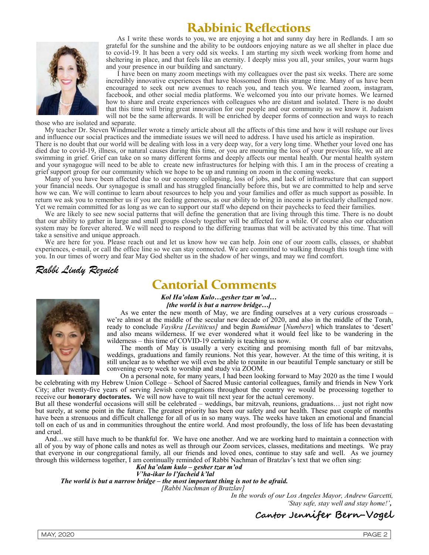# **Rabbinic Reflections**



As I write these words to you, we are enjoying a hot and sunny day here in Redlands. I am so grateful for the sunshine and the ability to be outdoors enjoying nature as we all shelter in place due to covid-19. It has been a very odd six weeks. I am starting my sixth week working from home and sheltering in place, and that feels like an eternity. I deeply miss you all, your smiles, your warm hugs and your presence in our building and sanctuary.

I have been on many zoom meetings with my colleagues over the past six weeks. There are some incredibly innovative experiences that have blossomed from this strange time. Many of us have been encouraged to seek out new avenues to reach you, and teach you. We learned zoom, instagram, facebook, and other social media platforms. We welcomed you into our private homes. We learned how to share and create experiences with colleagues who are distant and isolated. There is no doubt that this time will bring great innovation for our people and our community as we know it. Judaism will not be the same afterwards. It will be enriched by deeper forms of connection and ways to reach

those who are isolated and separate.

My teacher Dr. Steven Windmueller wrote a timely article about all the affects of this time and how it will reshape our lives and influence our social practices and the immediate issues we will need to address. I have used his article as inspiration.

There is no doubt that our world will be dealing with loss in a very deep way, for a very long time. Whether your loved one has died due to covid-19, illness, or natural causes during this time, or you are mourning the loss of your previous life, we all are swimming in grief. Grief can take on so many different forms and deeply affects our mental health. Our mental health system and your synagogue will need to be able to create new infrastructures for helping with this. I am in the process of creating a grief support group for our community which we hope to be up and running on zoom in the coming weeks.

Many of you have been affected due to our economy collapsing, loss of jobs, and lack of infrastructure that can support your financial needs. Our synagogue is small and has struggled financially before this, but we are committed to help and serve how we can. We will continue to learn about resources to help you and your families and offer as much support as possible. In return we ask you to remember us if you are feeling generous, as our ability to bring in income is particularly challenged now. Yet we remain committed for as long as we can to support our staff who depend on their paychecks to feed their families.

We are likely to see new social patterns that will define the generation that are living through this time. There is no doubt that our ability to gather in large and small groups closely together will be affected for a while. Of course also our education system may be forever altered. We will need to respond to the differing traumas that will be activated by this time. That will take a sensitive and unique approach.

We are here for you. Please reach out and let us know how we can help. Join one of our zoom calls, classes, or shabbat experiences, e-mail, or call the office line so we can stay connected. We are committed to walking through this tough time with you. In our times of worry and fear May God shelter us in the shadow of her wings, and may we find comfort.

Rabbi Lindy Reznick

# **Cantorial Comments**



Kol Ha'olam Kulo…gesher tzar m'od… [the world is but a narrow bridge...]

As we enter the new month of May, we are finding ourselves at a very curious crossroads – we're almost at the middle of the secular new decade of 2020, and also in the middle of the Torah, ready to conclude Vayikra [Levititcus] and begin Bamidmar [Numbers] which translates to 'desert' and also means wilderness. If we ever wondered what it would feel like to be wandering in the wilderness – this time of COVID-19 certainly is teaching us now.

The month of May is usually a very exciting and promising month full of bar mitzvahs, weddings, graduations and family reunions. Not this year, however. At the time of this writing, it is still unclear as to whether we will even be able to reunite in our beautiful Temple sanctuary or still be convening every week to worship and study via ZOOM.

On a personal note, for many years, I had been looking forward to May 2020 as the time I would be celebrating with my Hebrew Union College – School of Sacred Music cantorial colleagues, family and friends in New York City; after twenty-five years of serving Jewish congregations throughout the country we would be processing together to receive our honorary doctorates. We will now have to wait till next year for the actual ceremony.

But all these wonderful occasions will still be celebrated – weddings, bar mitzvah, reunions, graduations… just not right now but surely, at some point in the future. The greatest priority has been our safety and our health. These past couple of months have been a strenuous and difficult challenge for all of us in so many ways. The weeks have taken an emotional and financial toll on each of us and in communities throughout the entire world. And most profoundly, the loss of life has been devastating and cruel.

And…we still have much to be thankful for. We have one another. And we are working hard to maintain a connection with all of you by way of phone calls and notes as well as through our Zoom services, classes, meditations and meetings. We pray that everyone in our congregational family, all our friends and loved ones, continue to stay safe and well. As we journey through this wilderness together, I am continually reminded of Rabbi Nachman of Bratzlav's text that we often sing:

#### Kol ha'olam kulo – gesher tzar m'od V'ha-ikar lo l'facheid k'lal

The world is but a narrow bridge – the most important thing is not to be afraid.

[Rabbi Nachman of Bratzlav]

In the words of our Los Angeles Mayor, Andrew Garcetti, 'Stay safe, stay well and stay home!',

## Cantor Jennifer Bern-Vogel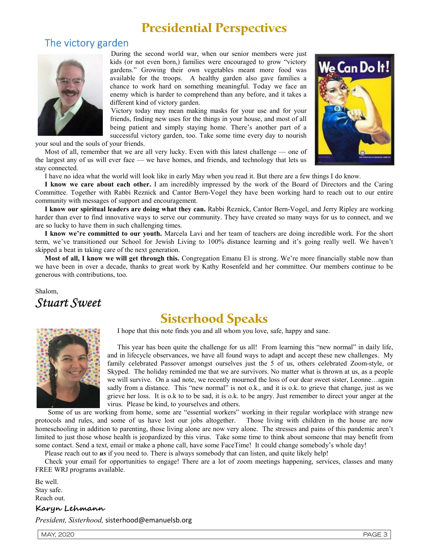# **Presidential Perspectives**

## The victory garden



During the second world war, when our senior members were just kids (or not even born,) families were encouraged to grow "victory gardens." Growing their own vegetables meant more food was available for the troops. A healthy garden also gave families a chance to work hard on something meaningful. Today we face an enemy which is harder to comprehend than any before, and it takes a different kind of victory garden.

Victory today may mean making masks for your use and for your friends, finding new uses for the things in your house, and most of all being patient and simply staying home. There's another part of a successful victory garden, too. Take some time every day to nourish

your soul and the souls of your friends.

Most of all, remember that we are all very lucky. Even with this latest challenge — one of the largest any of us will ever face — we have homes, and friends, and technology that lets us stay connected.



I have no idea what the world will look like in early May when you read it. But there are a few things I do know.

I know we care about each other. I am incredibly impressed by the work of the Board of Directors and the Caring Committee. Together with Rabbi Reznick and Cantor Bern-Vogel they have been working hard to reach out to our entire community with messages of support and encouragement.

I know our spiritual leaders are doing what they can. Rabbi Reznick, Cantor Bern-Vogel, and Jerry Ripley are working harder than ever to find innovative ways to serve our community. They have created so many ways for us to connect, and we are so lucky to have them in such challenging times.

I know we're committed to our youth. Marcela Lavi and her team of teachers are doing incredible work. For the short term, we've transitioned our School for Jewish Living to 100% distance learning and it's going really well. We haven't skipped a beat in taking care of the next generation.

Most of all, I know we will get through this. Congregation Emanu El is strong. We're more financially stable now than we have been in over a decade, thanks to great work by Kathy Rosenfeld and her committee. Our members continue to be generous with contributions, too.

Shalom,

Stuart Sweet

# **Sisterhood Speaks**

I hope that this note finds you and all whom you love, safe, happy and sane.



This year has been quite the challenge for us all! From learning this "new normal" in daily life, and in lifecycle observances, we have all found ways to adapt and accept these new challenges. My family celebrated Passover amongst ourselves just the 5 of us, others celebrated Zoom-style, or Skyped. The holiday reminded me that we are survivors. No matter what is thrown at us, as a people we will survive. On a sad note, we recently mourned the loss of our dear sweet sister, Leonne…again sadly from a distance. This "new normal" is not o.k., and it is o.k. to grieve that change, just as we grieve her loss. It is o.k to to be sad, it is o.k. to be angry. Just remember to direct your anger at the virus. Please be kind, to yourselves and others.

Some of us are working from home, some are "essential workers" working in their regular workplace with strange new protocols and rules, and some of us have lost our jobs altogether. Those living with children in the house are now homeschooling in addition to parenting, those living alone are now very alone. The stresses and pains of this pandemic aren't limited to just those whose health is jeopardized by this virus. Take some time to think about someone that may benefit from some contact. Send a text, email or make a phone call, have some FaceTime! It could change somebody's whole day!

Please reach out to **us** if you need to. There is always somebody that can listen, and quite likely help!

Check your email for opportunities to engage! There are a lot of zoom meetings happening, services, classes and many FREE WRJ programs available.

Be well. Stay safe. Reach out.

### Karyn Lehmann

President, Sisterhood, sisterhood@emanuelsb.org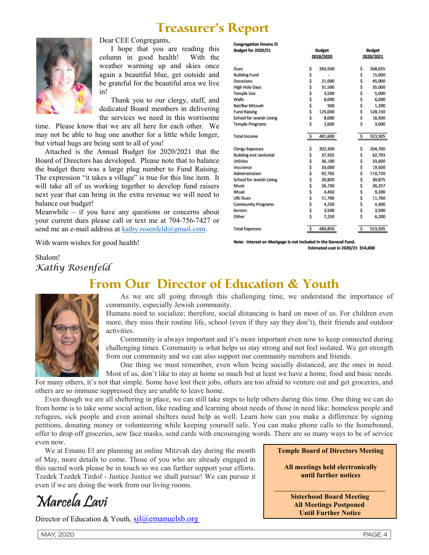# **Treasurer's Report**

**Congregation Emanu El** 



Dear CEE Congregants,

I hope that you are reading this column in good health! With the weather warming up and skies once again a beautiful blue, get outside and be grateful for the beautiful area we live in!

Thank you to our clergy, staff, and dedicated Board members in delivering the services we need in this worrisome

time. Please know that we are all here for each other. We may not be able to hug one another for a little while longer, but virtual hugs are being sent to all of you!

Attached is the Annual Budget for 2020/2021 that the Board of Directors has developed. Please note that to balance the budget there was a large plug number to Fund Raising. The expression "it takes a village" is true for this line item. It will take all of us working together to develop fund raisers next year that can bring in the extra revenue we will need to balance our budget!

Meanwhile – if you have any questions or concerns about your current dues please call or text me at 704-756-7427 or send me an e-mail address at kathy.rosenfeld@gmail.com.

With warm wishes for good health!

**Budget for 2020/21 Budget Budget** 2019/2020 2020/2021 283,500 268,655 Dues Ś Ś **Building Fund** Š. \$ 15,000 Donations 21,000 \$ 45,000 \$ **High Holy Days** Ś 31,500 Ś 35,000 **Temple Use** \$ 3.500 Ś 5.000 Walls Ś 6,000 \$ 6,000 Bat/Bar Mitzvah 500 1,200 Ś \$ **Fund Raising** Ś 125,000 \$. 128.150 School for Jewish Living \$ 8,000 \$ 16,500 **Temple Programs** Ś 2,600 Ś 3,000 \$ 481,600 \$ 523,505 **Total Income Clergy Expenses** Ś 202,300 \$ 204,700 **Building and Janitorial** \$ 37,925 \$ 62,793 Utilities \$ 36.100 \$ 33,600 Ś 33,000 \$ 19,500 Insurance Administration \$ 92,765 \$ 110,720 School for Jewish Living \$ 20,820 Ś 30,875 Ś 26.730 Ś 26.257 Music Ritual \$ \$ 9,200 4,450 **URJ Dues** 11,760 11,760 Ś \$ **Community Programs** Ś. 4.250 \$ 4.400 Seniors \$ 3,500 \$ 3,500 Other 7,250 6,200 \$ \$ **Total Expenses** \$ 480,850 \$ 523,505

Note: Interest on Mortgage is not included in the General Fund. Estimated cost in 2020/21 \$54,000

Shalom! Kathy Rosenfeld

# **From Our Director of Education & Youth**



As we are all going through this challenging time, we understand the importance of community, especially Jewish community.

Humans need to socialize; therefore, social distancing is hard on most of us. For children even more, they miss their routine life, school (even if they say they don't), their friends and outdoor activities.

Community is always important and it's more important even now to keep connected during challenging times. Community is what helps us stay strong and not feel isolated. We get strength from our community and we can also support our community members and friends.

One thing we must remember, even when being socially distanced, are the ones in need.

Most of us, don't like to stay at home so much but at least we have a home, food and basic needs. For many others, it's not that simple. Some have lost their jobs, others are too afraid to venture out and get groceries, and others are so immune suppressed they are unable to leave home.

Even though we are all sheltering in place, we can still take steps to help others during this time. One thing we can do from home is to take some social action, like reading and learning about needs of those in need like: homeless people and refugees, sick people and even animal shelters need help as well. Learn how can you make a difference by signing petitions, donating money or volunteering while keeping yourself safe. You can make phone calls to the homebound, offer to drop off groceries, sew face masks, send cards with encouraging words. There are so many ways to be of service even now.

We at Emanu El are planning an online Mitzvah day during the month of May, more details to come. Those of you who are already engaged in this sacred work please be in touch so we can further support your efforts. Tzedek Tzedek Tirdof - Justice Justice we shall pursue! We can pursue it even if we are doing the work from our living rooms.

Marcela Lavi

Director of Education & Youth,  $\frac{\sin(\omega)}{\omega}$ emanuelsb.org

Temple Board of Directors Meeting

**All meetings held electronically until further notices**

Sisterhood Board Meeting All Meetings Postponed Until Further Notice

 $\mathcal{L}_\mathcal{L} = \mathcal{L}_\mathcal{L} = \mathcal{L}_\mathcal{L} = \mathcal{L}_\mathcal{L} = \mathcal{L}_\mathcal{L} = \mathcal{L}_\mathcal{L} = \mathcal{L}_\mathcal{L} = \mathcal{L}_\mathcal{L} = \mathcal{L}_\mathcal{L} = \mathcal{L}_\mathcal{L} = \mathcal{L}_\mathcal{L} = \mathcal{L}_\mathcal{L} = \mathcal{L}_\mathcal{L} = \mathcal{L}_\mathcal{L} = \mathcal{L}_\mathcal{L} = \mathcal{L}_\mathcal{L} = \mathcal{L}_\mathcal{L}$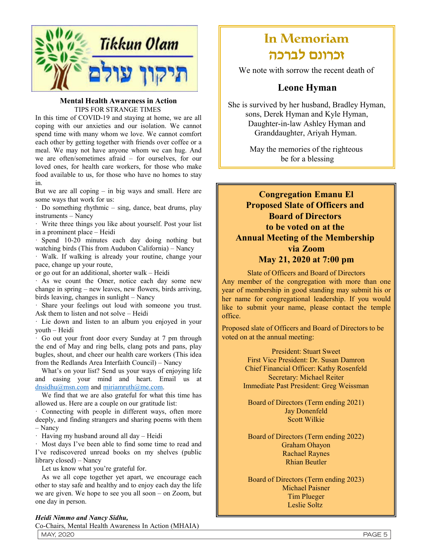

#### Mental Health Awareness in Action TIPS FOR STRANGE TIMES

In this time of COVID-19 and staying at home, we are all coping with our anxieties and our isolation. We cannot spend time with many whom we love. We cannot comfort each other by getting together with friends over coffee or a meal. We may not have anyone whom we can hug. And we are often/sometimes afraid – for ourselves, for our loved ones, for health care workers, for those who make food available to us, for those who have no homes to stay in.

But we are all coping – in big ways and small. Here are some ways that work for us:

· Do something rhythmic – sing, dance, beat drums, play instruments – Nancy

· Write three things you like about yourself. Post your list in a prominent place – Heidi

· Spend 10-20 minutes each day doing nothing but watching birds (This from Audubon California) – Nancy

· Walk. If walking is already your routine, change your pace, change up your route,

or go out for an additional, shorter walk – Heidi

· As we count the Omer, notice each day some new change in spring – new leaves, new flowers, birds arriving, birds leaving, changes in sunlight – Nancy

· Share your feelings out loud with someone you trust. Ask them to listen and not solve – Heidi

· Lie down and listen to an album you enjoyed in your youth – Heidi

· Go out your front door every Sunday at 7 pm through the end of May and ring bells, clang pots and pans, play bugles, shout, and cheer our health care workers (This idea from the Redlands Area Interfaith Council) – Nancy

What's on your list? Send us your ways of enjoying life and easing your mind and heart. Email us at dnsidhu@msn.com and miriamruth@me.com.

We find that we are also grateful for what this time has allowed us. Here are a couple on our gratitude list:

· Connecting with people in different ways, often more deeply, and finding strangers and sharing poems with them – Nancy

· Having my husband around all day – Heidi

· Most days I've been able to find some time to read and I've rediscovered unread books on my shelves (public library closed) – Nancy

Let us know what you're grateful for.

As we all cope together yet apart, we encourage each other to stay safe and healthy and to enjoy each day the life we are given. We hope to see you all soon – on Zoom, but one day in person.

#### Heidi Nimmo and Nancy Sidhu,

Co-Chairs, Mental Health Awareness In Action (MHAIA)

# In Memoriam זכרונם לברכה

We note with sorrow the recent death of

## Leone Hyman

She is survived by her husband, Bradley Hyman, sons, Derek Hyman and Kyle Hyman, Daughter-in-law Ashley Hyman and Granddaughter, Ariyah Hyman.

> May the memories of the righteous be for a blessing

# Congregation Emanu El Proposed Slate of Officers and Board of Directors to be voted on at the Annual Meeting of the Membership via Zoom

## May 21, 2020 at 7:00 pm

Slate of Officers and Board of Directors Any member of the congregation with more than one year of membership in good standing may submit his or her name for congregational leadership. If you would like to submit your name, please contact the temple office.

Proposed slate of Officers and Board of Directors to be voted on at the annual meeting:

> President: Stuart Sweet First Vice President: Dr. Susan Damron Chief Financial Officer: Kathy Rosenfeld Secretary: Michael Reiter Immediate Past President: Greg Weissman

Board of Directors (Term ending 2021) Jay Donenfeld Scott Wilkie

Board of Directors (Term ending 2022) Graham Ohayon Rachael Raynes Rhian Beutler

Board of Directors (Term ending 2023) Michael Paisner Tim Plueger Leslie Soltz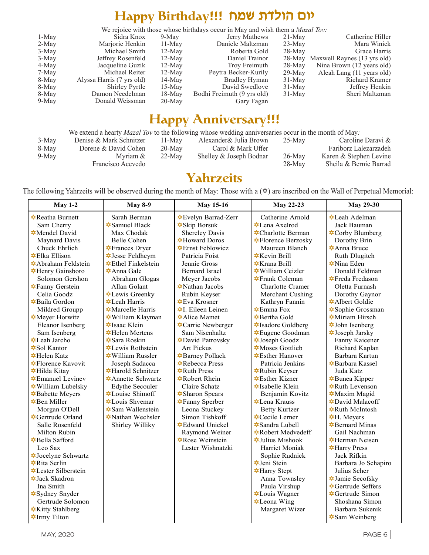# We rejoice with those whose birthdays occur in May and wish them a *Mazal Tov:*

| We rejoice with those whose birthdays occur in May and wish them a <i>Mazal Toy</i> : |           |                            |          |                                    |  |  |
|---------------------------------------------------------------------------------------|-----------|----------------------------|----------|------------------------------------|--|--|
| Sidra Knox                                                                            | $9-May$   | Jerry Mathews              | $21-May$ | Catherine Hiller                   |  |  |
| Marjorie Henkin                                                                       | $11-May$  | Daniele Maltzman           | $23-May$ | Mara Winick                        |  |  |
| Michael Smith                                                                         | $12-May$  | Roberta Gold               | $28-May$ | Grace Harris                       |  |  |
| Jeffrey Rosenfeld                                                                     | $12-May$  | Daniel Trainor             |          | 28-May Maxwell Raynes (13 yrs old) |  |  |
| Jacqueline Guzik                                                                      | $12-May$  | Troy Freimuth              | $28-May$ | Nina Brown (12 years old)          |  |  |
| Michael Reiter                                                                        | $12-May$  | Peytra Becker-Kurily       | $29-May$ | Aleah Lang (11 years old)          |  |  |
| Alyssa Harris (7 yrs old)                                                             | $14$ -May | Bradley Hyman              | $31-May$ | Richard Kramer                     |  |  |
| Shirley Pyrtle                                                                        | $15-May$  | David Swedlove             | $31-May$ | Jeffrey Henkin                     |  |  |
| Damon Needelman                                                                       | $18-Mav$  | Bodhi Freimuth (9 yrs old) | $31-May$ | Sheri Maltzman                     |  |  |
| Donald Weissman                                                                       | $20$ -May | Gary Fagan                 |          |                                    |  |  |
|                                                                                       |           |                            |          |                                    |  |  |

# Happy Anniversary!!!

|       | We extend a hearty <i>Mazal Tov</i> to the following whose wedding anniversaries occur in the month of May: |           |                         |           |                        |  |
|-------|-------------------------------------------------------------------------------------------------------------|-----------|-------------------------|-----------|------------------------|--|
| 3-May | Denise & Mark Schnitzer                                                                                     | $11-Mav$  | Alexander& Julia Brown  | $25-Mav$  | Caroline Daravi &      |  |
| 8-May | Dorene & David Cohen                                                                                        | $20$ -May | Carol & Mark Uffer      |           | Fariborz Lalezarzadeh  |  |
| 9-May | Myriam &                                                                                                    | $22-Mav$  | Shelley & Joseph Bodnar | $26$ -May | Karen & Stephen Levine |  |
|       | Francisco Acevedo                                                                                           |           |                         | $28-Mav$  | Sheila & Bernie Barrad |  |

# Yahrzeits

The following Yahrzeits will be observed during the month of May: Those with a  $(\bar{x})$  are inscribed on the Wall of Perpetual Memorial:

| <b>May 1-2</b>                                   | <b>May 8-9</b>                                | <b>May 15-16</b>                             | <b>May 22-23</b>                                | <b>May 29-30</b>                                |
|--------------------------------------------------|-----------------------------------------------|----------------------------------------------|-------------------------------------------------|-------------------------------------------------|
| <b> A</b> Reatha Burnett                         | Sarah Berman                                  | <b></b> Evelyn Barrad-Zerr                   | Catherine Arnold                                | <b>⊅</b> Leah Adelman                           |
| Sam Cherry                                       | <b><math>\triangle</math></b> Samuel Black    | <b><math>\triangle</math>Skip Borsuk</b>     | $\triangle$ Lena Axelrod                        | Jack Bauman                                     |
| <b><math>\triangle</math></b> Mendel David       | Max Chodak                                    | <b>Shereley Davis</b>                        | <b>‡</b> Charlotte Berman                       | <b>‡Corby Blumberg</b>                          |
| Maynard Davis                                    | Belle Cohen                                   | <b></b> Howard Doros                         | <b><math>\triangle</math>Florence Berzosky</b>  | Dorothy Brin                                    |
| Chuck Ehrlich                                    | <b>T</b> rances Dryer                         | <b></b> Ernst Feblowicz                      | Maureen Blanch                                  | <b><math>\triangle</math>Anna Bruce</b>         |
| <b><math>\bigstar</math>Elka Ellison</b>         | <b>↓Jesse Feldheym</b>                        | Patricia Foist                               | $\triangle$ Kevin Brill                         | Ruth Dlugitch                                   |
| <b></b> Abraham Feldstein                        | <b></b> ≄Ethel Finkelstein                    | Jennie Gross                                 | <b><math>\triangle</math></b> Krana Brill       | <b><math>\triangle</math></b> Nina Eden         |
| <b>↓</b> Henry Gainsboro                         | $\triangle$ Anna Gale                         | <b>Bernard Israel</b>                        | <b><math>\star</math>William Ceizler</b>        | Donald Feldman                                  |
| Solomon Gershon                                  | Abraham Glogas                                | Meyer Jacobs                                 | <b><math>\blacklozenge</math></b> Frank Coleman | <b></b> Freda Fredason                          |
| <b>★Fanny Gerstein</b>                           | Allan Golant                                  | $\triangle$ Nathan Jacobs                    | Charlotte Cramer                                | Oletta Furnash                                  |
| Celia Goodz                                      | <b>*Lewis Greenky</b>                         | Rubin Keyser                                 | Merchant Cushing                                | Dorothy Gaynor                                  |
| <b></b> Baila Gordon                             | $\triangle$ Leah Harris                       | <b></b> Eva Krosner                          | Kathryn Fannin                                  | <b><math>\triangle</math>Albert Goldie</b>      |
| Mildred Groupp                                   | <b>Marcelle Harris</b>                        | <b><math>\star</math>I</b> . Eileen Leinen   | <b></b> ≠Emma Fox                               | <b>Sophie Grossman</b>                          |
| Meyer Horwitz                                    | <b>★William Klayman</b>                       | $\triangle$ Alice Mamet                      | <b></b> Bertha Gold                             | <b><math>\blacklozenge</math></b> Miriam Hirsch |
| Eleanor Isenberg                                 | <b><math>\triangle</math>Isaac Klein</b>      | <b>‡Carrie Newberger</b>                     | <b><math>\triangle</math>Isadore Goldberg</b>   | <b><math>\blacklozenge</math></b> John Isenberg |
| Sam Isenberg                                     | <b>↓Helen Mertens</b>                         | Sam Nisenhaltz                               | <b></b> Eugene Goodman                          | <b><math>\blacklozenge</math></b> Joseph Jarsky |
| <b>‡</b> Leah Jarcho                             | <b><math>\triangle</math>Sara Roskin</b>      | <b>⊅David Patrovsky</b>                      | <b><math>\blacklozenge</math></b> Joseph Goodz  | Fanny Kaicener                                  |
| $\bigstar$ Sol Kantor                            | <b>‡</b> Lewis Rothstein                      | <b>Art Pickus</b>                            | <b><math>\triangle</math></b> Moses Gottlieb    | Richard Kaplan                                  |
| $\bigstar$ Helen Katz                            | $\star$ William Russler                       | <b><math>\triangle</math></b> Barney Pollack | $\triangle$ Esther Hanover                      | Barbara Kartun                                  |
| <b>‡Florence Kavovit</b>                         | Joseph Sadacca                                | <b>‡Rebecca Press</b>                        | Patricia Jenkins                                | <b><math>\triangle</math></b> Barbara Kassel    |
| <b>Hilda</b> Kitay                               | <b><math>\triangle</math>Harold Schnitzer</b> | <b>☆</b> Ruth Press                          | <b></b> Rubin Keyser                            | Juda Katz                                       |
| $\triangle$ Emanuel Levinev                      | <b><math>\triangle</math>Annette Schwartz</b> | <b></b> Robert Rhein                         | $\bigstar$ Esther Kizner                        | <b><math>\blacklozenge</math></b> Bunea Kipper  |
| <b>★William Lubelsky</b>                         | Edythe Secouler                               | Claire Schatz                                | <b><math>\triangle</math>Isabelle Klein</b>     | <b></b> Ruth Levenson                           |
| <b><math>\triangle</math></b> Babette Meyers     | <b>*Louise Shimoff</b>                        | <b><math>\triangle</math>Sharon Spears</b>   | Benjamin Kovitz                                 | <b><math>\triangle</math>Maxim Magid</b>        |
| <b>⊅</b> Ben Miller                              | $\triangle$ Louis Shvemar                     | <b></b> Fanny Sperber                        | <b></b> Lena Krauss                             | <b>⊅David Malacoff</b>                          |
| Morgan O'Dell                                    | $\triangle$ Sam Wallenstein                   | Leona Stuckey                                | <b>Betty Kurtzer</b>                            | $\star$ Ruth McIntosh                           |
| <b>☆</b> Gertrude Orland                         | <b><math>\triangle</math></b> Nathan Wechsler | Simon Tishkoff                               | <b>‡Cecile Lerner</b>                           | $\bigstar$ H. Meyers                            |
| Salle Rosenfeld                                  | Shirley Williky                               | <b><math>\triangle</math>Edward Unickel</b>  | $\triangle$ Sandra Lubell                       | $\triangle$ Bernard Minas                       |
| Milton Rubin                                     |                                               | Raymond Weiner                               | <b></b> Robert Medvedeff                        | Gail Nachman                                    |
| <b>⊅Bella Safford</b>                            |                                               | <b>Rose Weinstein</b>                        | $\star$ Julius Mishook                          | $\bigstar$ Herman Neisen                        |
| Leo Sax                                          |                                               | Lester Wishnatzki                            | Harriet Moniak                                  | <b>★Harry Press</b>                             |
| <b><math>\triangle</math>Jocelyne Schwartz</b>   |                                               |                                              | Sophie Rudnick                                  | Jack Rifkin                                     |
| $\bigstar$ Rita Serlin                           |                                               |                                              | <b>⊅Jeni</b> Stein                              | Barbara Jo Schapiro                             |
| <b><math>\triangle</math></b> Lester Silberstein |                                               |                                              | <b>☆</b> Harry Stept                            | Julius Scher                                    |
| <b>⊅Jack Skadron</b>                             |                                               |                                              | Anna Townsley                                   | <b>U</b> Jamie Secofsky                         |
| Ina Smith                                        |                                               |                                              | Paula Virshup                                   | <b><math>\triangle</math>Gertrude Seffers</b>   |
| <b><math>\triangle</math></b> Sydney Snyder      |                                               |                                              | <b> ⊅</b> Louis Wagner                          | <b><math>\triangle</math>Gertrude Simon</b>     |
| Gertrude Solomon                                 |                                               |                                              | $\triangle$ Leona Wing                          | Shoshana Simon                                  |
| <b>★Kitty Stahlberg</b>                          |                                               |                                              | Margaret Wizer                                  | Barbara Sukenik                                 |
| <b>‡Irmy Tilton</b>                              |                                               |                                              |                                                 | <b><math>\triangle</math></b> Sam Weinberg      |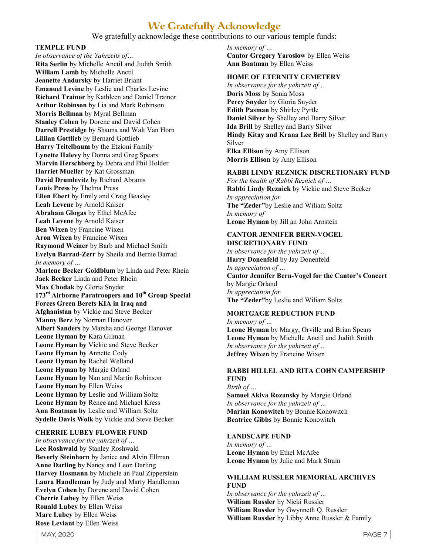## **We Gratefully Acknowledge**

We gratefully acknowledge these contributions to our various temple funds:

#### TEMPLE FUND

In observance of the Yahrzeits of… Rita Serlin by Michelle Anctil and Judith Smith William Lamb by Michelle Anctil Jeanette Andursky by Harriet Briant Emanuel Levine by Leslie and Charles Levine Richard Trainor by Kathleen and Daniel Trainor Arthur Robinson by Lia and Mark Robinson Morris Bellman by Myral Bellman Stanley Cohen by Dorene and David Cohen Darrell Prestidge by Shauna and Walt Van Horn Lillian Gottlieb by Bernard Gottlieb Harry Teitelbaum by the Etzioni Family Lynette Halevy by Donna and Greg Spears Marvin Herschberg by Debra and Phil Holder Harriet Mueller by Kat Grossman David Drumlevitz by Richard Abrams Louis Press by Thelma Press Ellen Ebert by Emily and Craig Beasley Leah Levene by Arnold Kaiser Abraham Glogas by Ethel McAfee Leah Levene by Arnold Kaiser Ben Wixen by Francine Wixen Aron Wixen by Francine Wixen Raymond Weiner by Barb and Michael Smith Evelyn Barrad-Zerr by Sheila and Bernie Barrad In memory of … Marlene Becker Goldblum by Linda and Peter Rhein Jack Becker Linda and Peter Rhein Max Chodak by Gloria Snyder 173<sup>rd</sup> Airborne Paratroopers and 10<sup>th</sup> Group Special Forces Green Berets KIA in Iraq and Afghanistan by Vickie and Steve Becker Manny Berz by Norman Hanover Albert Sanders by Marsha and George Hanover Leone Hyman by Kara Gilman Leone Hyman by Vickie and Steve Becker Leone Hyman by Annette Cody Leone Hyman by Rachel Welland Leone Hyman by Margie Orland Leone Hyman by Nan and Martin Robinson Leone Hyman by Ellen Weiss Leone Hyman by Leslie and William Soltz Leone Hyman by Renee and Michael Kress Ann Boatman by Leslie and William Soltz Sydelle Davis Wolk by Vickie and Steve Becker

#### CHERRIE LUBEY FLOWER FUND

In observance for the yahrzeit of … Lee Roshwald by Stanley Roshwald Beverly Steinhorn by Janice and Alvin Ellman Anne Darling by Nancy and Leon Darling Harvey Hosmann by Michele an Paul Zipperstein Laura Handleman by Judy and Marty Handleman Evelyn Cohen by Dorene and David Cohen Cherrie Lubey by Ellen Weiss Ronald Lubey by Ellen Weiss Marc Lubey by Ellen Weiss Rose Leviant by Ellen Weiss

In memory of … Cantor Gregory Yaroslow by Ellen Weiss Ann Boatman by Ellen Weiss

#### HOME OF ETERNITY C**EMETERY**

In observance for the yahrzeit of … Doris Moss by Sonia Moss Percy Snyder by Gloria Snyder Edith Pasman by Shirley Pyrtle Daniel Silver by Shelley and Barry Silver Ida Brill by Shelley and Barry Silver Hindy Kitay and Krana Lee Brill by Shelley and Barry Silver Elka Ellison by Amy Ellison Morris Ellison by Amy Ellison

#### RABBI LINDY REZNICK DISCRETIONARY FUND

For the health of Rabbi Reznick of … Rabbi Lindy Reznick by Vickie and Steve Becker In appreciation for The "Zeder"by Leslie and Wiliam Soltz In memory of Leone Hyman by Jill an John Arnstein

#### CANTOR JENNIFER BERN-VOGEL DISCRETIONARY FUND

In observance for the yahrzeit of … Harry Donenfeld by Jay Donenfeld In appreciation of … Cantor Jennifer Bern-Vogel for the Cantor's Concert by Margie Orland In appreciation for The "Zeder"by Leslie and Wiliam Soltz

## MORTGAGE REDUCTION FUND

In memory of … Leone Hyman by Margy, Orville and Brian Spears Leone Hyman by Michelle Anctil and Judith Smith In observance for the yahrzeit of … Jeffrey Wixen by Francine Wixen

## RABBI HILLEL AND RITA COHN CAMPERSHIP **FUND**

Birth of … Samuel Akiva Rozansky by Margie Orland In observance for the yahrzeit of … Marian Konowitch by Bonnie Konowitch Beatrice Gibbs by Bonnie Konowitch

## LANDSCAPE FUND

In memory of … Leone Hyman by Ethel McAfee Leone Hyman by Julie and Mark Strain

#### WILLIAM RUSSLER MEMORIAL ARCHIVES FUND

In observance for the yahrzeit of … William Russler by Nicki Russler William Russler by Gwynneth Q. Russler William Russler by Libby Anne Russler & Family